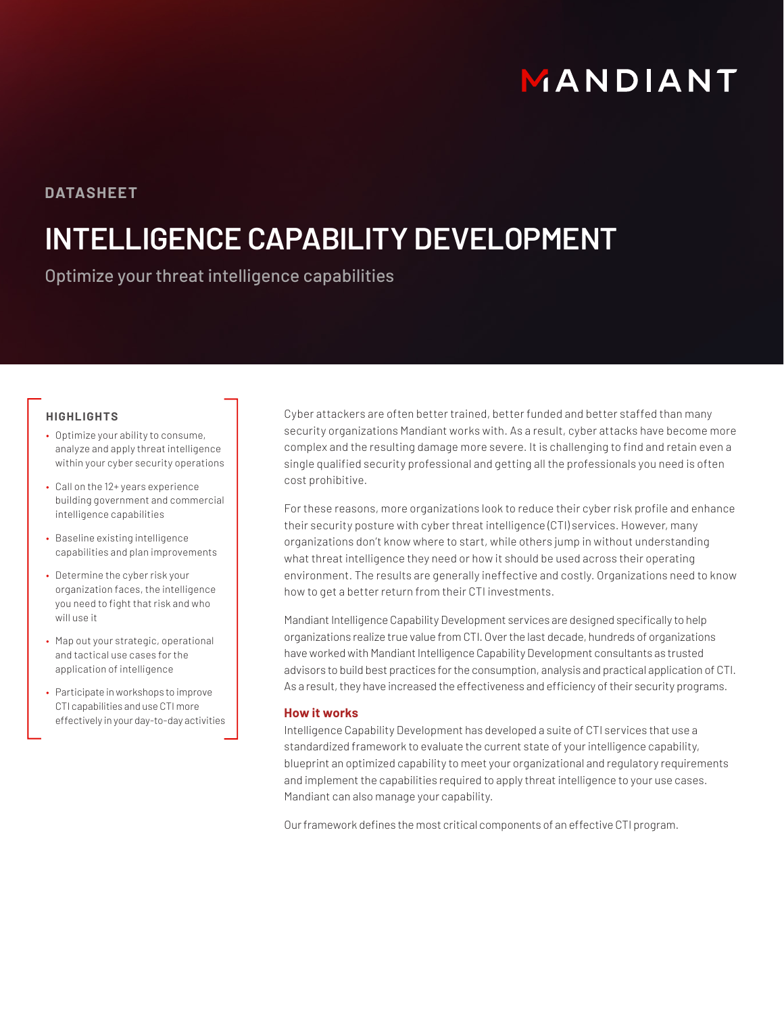# MANDIANT

### **DATASHEET**

## **INTELLIGENCE CAPABILITY DEVELOPMENT**

Optimize your threat intelligence capabilities

#### **HIGHLIGHTS**

- Optimize your ability to consume, analyze and apply threat intelligence within your cyber security operations
- Call on the 12+ years experience building government and commercial intelligence capabilities
- Baseline existing intelligence capabilities and plan improvements
- Determine the cyber risk your organization faces, the intelligence you need to fight that risk and who will use it
- Map out your strategic, operational and tactical use cases for the application of intelligence
- Participate in workshops to improve CTI capabilities and use CTI more effectively in your day-to-day activities

Cyber attackers are often better trained, better funded and better staffed than many security organizations Mandiant works with. As a result, cyber attacks have become more complex and the resulting damage more severe. It is challenging to find and retain even a single qualified security professional and getting all the professionals you need is often cost prohibitive.

For these reasons, more organizations look to reduce their cyber risk profile and enhance their security posture with cyber threat intelligence (CTI) services. However, many organizations don't know where to start, while others jump in without understanding what threat intelligence they need or how it should be used across their operating environment. The results are generally ineffective and costly. Organizations need to know how to get a better return from their CTI investments.

Mandiant Intelligence Capability Development services are designed specifically to help organizations realize true value from CTI. Over the last decade, hundreds of organizations have worked with Mandiant Intelligence Capability Development consultants as trusted advisors to build best practices for the consumption, analysis and practical application of CTI. As a result, they have increased the effectiveness and efficiency of their security programs.

#### **How it works**

Intelligence Capability Development has developed a suite of CTI services that use a standardized framework to evaluate the current state of your intelligence capability, blueprint an optimized capability to meet your organizational and regulatory requirements and implement the capabilities required to apply threat intelligence to your use cases. Mandiant can also manage your capability.

Our framework defines the most critical components of an effective CTI program.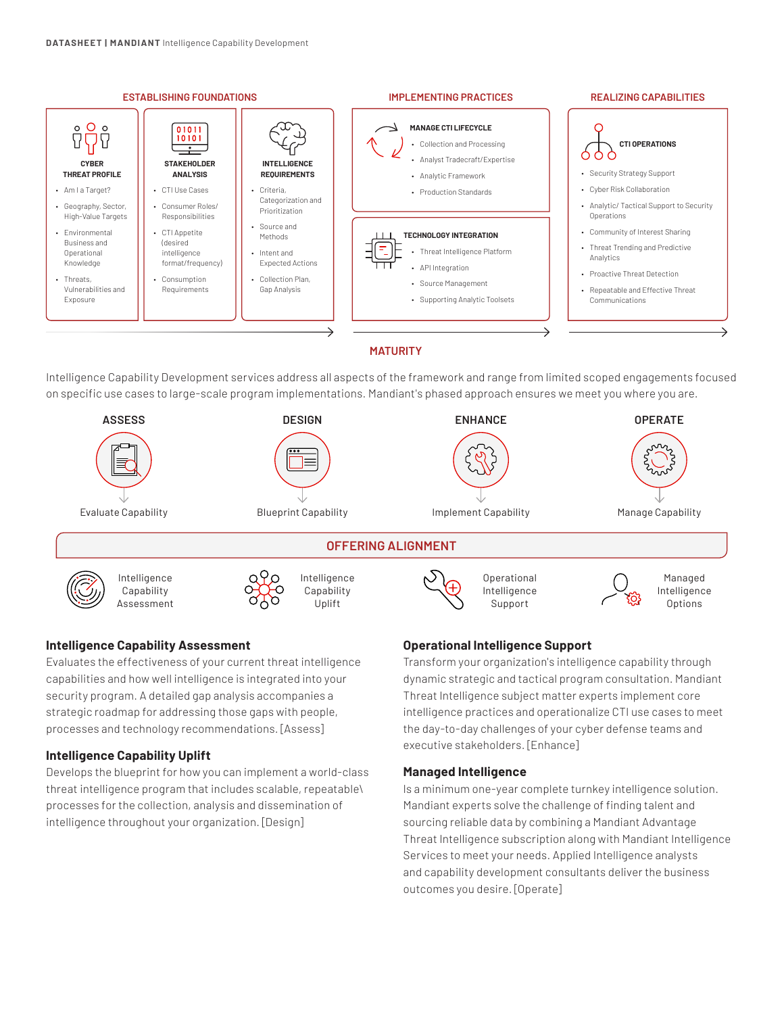

Intelligence Capability Development services address all aspects of the framework and range from limited scoped engagements focused on specific use cases to large-scale program implementations. Mandiant's phased approach ensures we meet you where you are.



#### **Intelligence Capability Assessment**

Evaluates the effectiveness of your current threat intelligence capabilities and how well intelligence is integrated into your security program. A detailed gap analysis accompanies a strategic roadmap for addressing those gaps with people, processes and technology recommendations. [Assess]

#### **Intelligence Capability Uplift**

Develops the blueprint for how you can implement a world-class threat intelligence program that includes scalable, repeatable\ processes for the collection, analysis and dissemination of intelligence throughout your organization. [Design]

#### **Operational Intelligence Support**

Transform your organization's intelligence capability through dynamic strategic and tactical program consultation. Mandiant Threat Intelligence subject matter experts implement core intelligence practices and operationalize CTI use cases to meet the day-to-day challenges of your cyber defense teams and executive stakeholders. [Enhance]

#### **Managed Intelligence**

Is a minimum one-year complete turnkey intelligence solution. Mandiant experts solve the challenge of finding talent and sourcing reliable data by combining a Mandiant Advantage Threat Intelligence subscription along with Mandiant Intelligence Services to meet your needs. Applied Intelligence analysts and capability development consultants deliver the business outcomes you desire. [Operate]